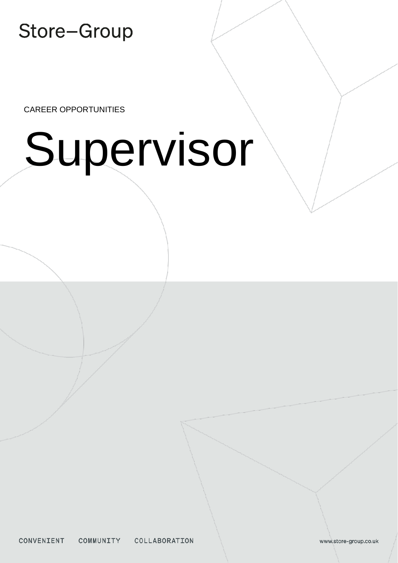CAREER OPPORTUNITIES

# Supervisor

CONVENIENT COMMUNITY COLLABORATION

www.store-group.co.uk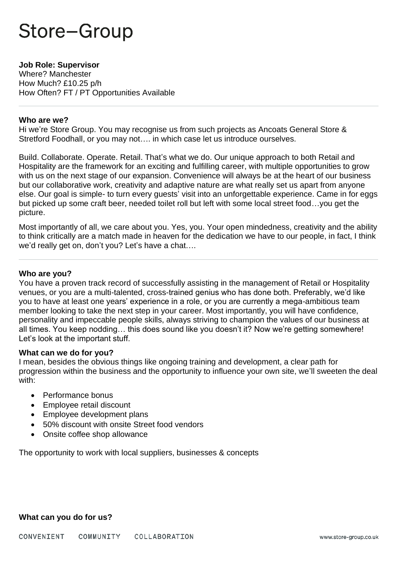#### **Job Role: Supervisor**

Where? Manchester How Much? £10.25 p/h How Often? FT / PT Opportunities Available

#### **Who are we?**

Hi we're Store Group. You may recognise us from such projects as Ancoats General Store & Stretford Foodhall, or you may not…. in which case let us introduce ourselves.

Build. Collaborate. Operate. Retail. That's what we do. Our unique approach to both Retail and Hospitality are the framework for an exciting and fulfilling career, with multiple opportunities to grow with us on the next stage of our expansion. Convenience will always be at the heart of our business but our collaborative work, creativity and adaptive nature are what really set us apart from anyone else. Our goal is simple- to turn every guests' visit into an unforgettable experience. Came in for eggs but picked up some craft beer, needed toilet roll but left with some local street food…you get the picture.

Most importantly of all, we care about you. Yes, you. Your open mindedness, creativity and the ability to think critically are a match made in heaven for the dedication we have to our people, in fact, I think we'd really get on, don't you? Let's have a chat….

#### **Who are you?**

You have a proven track record of successfully assisting in the management of Retail or Hospitality venues, or you are a multi-talented, cross-trained genius who has done both. Preferably, we'd like you to have at least one years' experience in a role, or you are currently a mega-ambitious team member looking to take the next step in your career. Most importantly, you will have confidence, personality and impeccable people skills, always striving to champion the values of our business at all times. You keep nodding… this does sound like you doesn't it? Now we're getting somewhere! Let's look at the important stuff.

#### **What can we do for you?**

I mean, besides the obvious things like ongoing training and development, a clear path for progression within the business and the opportunity to influence your own site, we'll sweeten the deal with:

- Performance bonus
- Employee retail discount
- Employee development plans
- 50% discount with onsite Street food vendors
- Onsite coffee shop allowance

The opportunity to work with local suppliers, businesses & concepts

#### **What can you do for us?**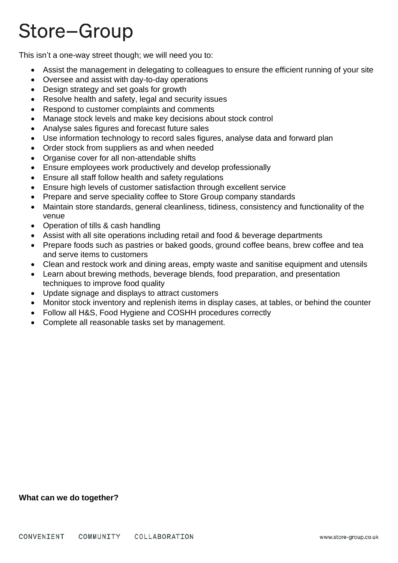This isn't a one-way street though; we will need you to:

- Assist the management in delegating to colleagues to ensure the efficient running of your site
- Oversee and assist with day-to-day operations
- Design strategy and set goals for growth
- Resolve health and safety, legal and security issues
- Respond to customer complaints and comments
- Manage stock levels and make key decisions about stock control
- Analyse sales figures and forecast future sales
- Use information technology to record sales figures, analyse data and forward plan
- Order stock from suppliers as and when needed
- Organise cover for all non-attendable shifts
- Ensure employees work productively and develop professionally
- Ensure all staff follow health and safety regulations
- Ensure high levels of customer satisfaction through excellent service
- Prepare and serve speciality coffee to Store Group company standards
- Maintain store standards, general cleanliness, tidiness, consistency and functionality of the venue
- Operation of tills & cash handling
- Assist with all site operations including retail and food & beverage departments
- Prepare foods such as pastries or baked goods, ground coffee beans, brew coffee and tea and serve items to customers
- Clean and restock work and dining areas, empty waste and sanitise equipment and utensils
- Learn about brewing methods, beverage blends, food preparation, and presentation techniques to improve food quality
- Update signage and displays to attract customers
- Monitor stock inventory and replenish items in display cases, at tables, or behind the counter
- Follow all H&S, Food Hygiene and COSHH procedures correctly
- Complete all reasonable tasks set by management.

#### **What can we do together?**